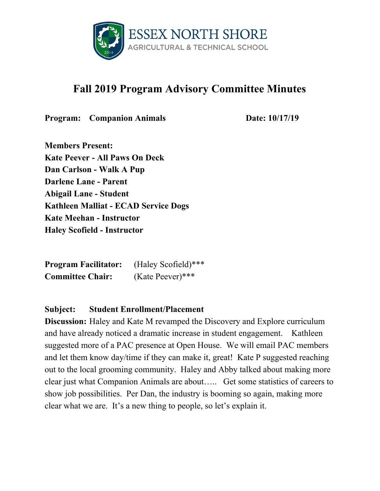

# **Fall 2019 Program Advisory Committee Minutes**

**Program:** Companion Animals **Date:** 10/17/19

**Members Present: Kate Peever - All Paws On Deck Dan Carlson - Walk A Pup Darlene Lane - Parent Abigail Lane - Student Kathleen Malliat - ECAD Service Dogs Kate Meehan - Instructor Haley Scofield - Instructor**

**Program Facilitator:** (Haley Scofield)\*\*\* **Committee Chair:** (Kate Peever)\*\*\*

#### **Subject: Student Enrollment/Placement**

**Discussion:** Haley and Kate M revamped the Discovery and Explore curriculum and have already noticed a dramatic increase in student engagement. Kathleen suggested more of a PAC presence at Open House. We will email PAC members and let them know day/time if they can make it, great! Kate P suggested reaching out to the local grooming community. Haley and Abby talked about making more clear just what Companion Animals are about….. Get some statistics of careers to show job possibilities. Per Dan, the industry is booming so again, making more clear what we are. It's a new thing to people, so let's explain it.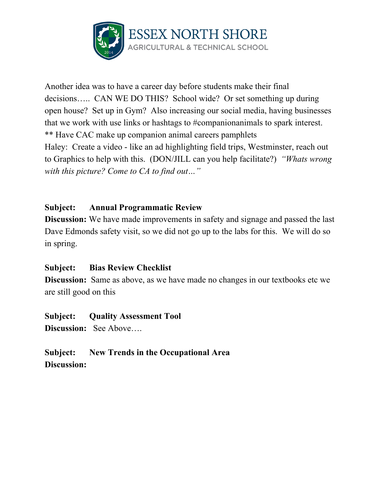

Another idea was to have a career day before students make their final decisions….. CAN WE DO THIS? School wide? Or set something up during open house? Set up in Gym? Also increasing our social media, having businesses that we work with use links or hashtags to #companionanimals to spark interest. \*\* Have CAC make up companion animal careers pamphlets Haley: Create a video - like an ad highlighting field trips, Westminster, reach out to Graphics to help with this. (DON/JILL can you help facilitate?) *"Whats wrong with this picture? Come to CA to find out…"*

# **Subject: Annual Programmatic Review**

**Discussion:** We have made improvements in safety and signage and passed the last Dave Edmonds safety visit, so we did not go up to the labs for this. We will do so in spring.

#### **Subject: Bias Review Checklist**

**Discussion:** Same as above, as we have made no changes in our textbooks etc we are still good on this

#### **Subject: Quality Assessment Tool**

**Discussion:** See Above….

**Subject: New Trends in the Occupational Area Discussion:**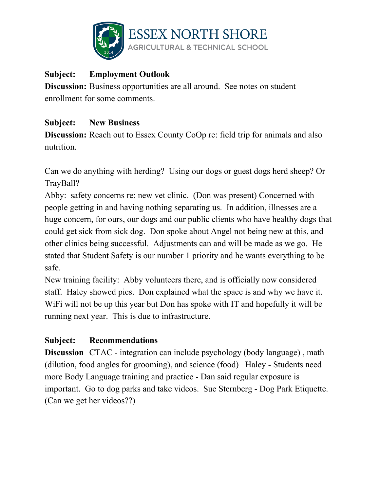

# **Subject: Employment Outlook**

**Discussion:** Business opportunities are all around. See notes on student enrollment for some comments.

# **Subject: New Business**

**Discussion:** Reach out to Essex County CoOp re: field trip for animals and also nutrition.

Can we do anything with herding? Using our dogs or guest dogs herd sheep? Or TrayBall?

Abby: safety concerns re: new vet clinic. (Don was present) Concerned with people getting in and having nothing separating us. In addition, illnesses are a huge concern, for ours, our dogs and our public clients who have healthy dogs that could get sick from sick dog. Don spoke about Angel not being new at this, and other clinics being successful. Adjustments can and will be made as we go. He stated that Student Safety is our number 1 priority and he wants everything to be safe.

New training facility: Abby volunteers there, and is officially now considered staff. Haley showed pics. Don explained what the space is and why we have it. WiFi will not be up this year but Don has spoke with IT and hopefully it will be running next year. This is due to infrastructure.

# **Subject: Recommendations**

**Discussion** CTAC - integration can include psychology (body language), math (dilution, food angles for grooming), and science (food) Haley - Students need more Body Language training and practice - Dan said regular exposure is important. Go to dog parks and take videos. Sue Sternberg - Dog Park Etiquette. (Can we get her videos??)